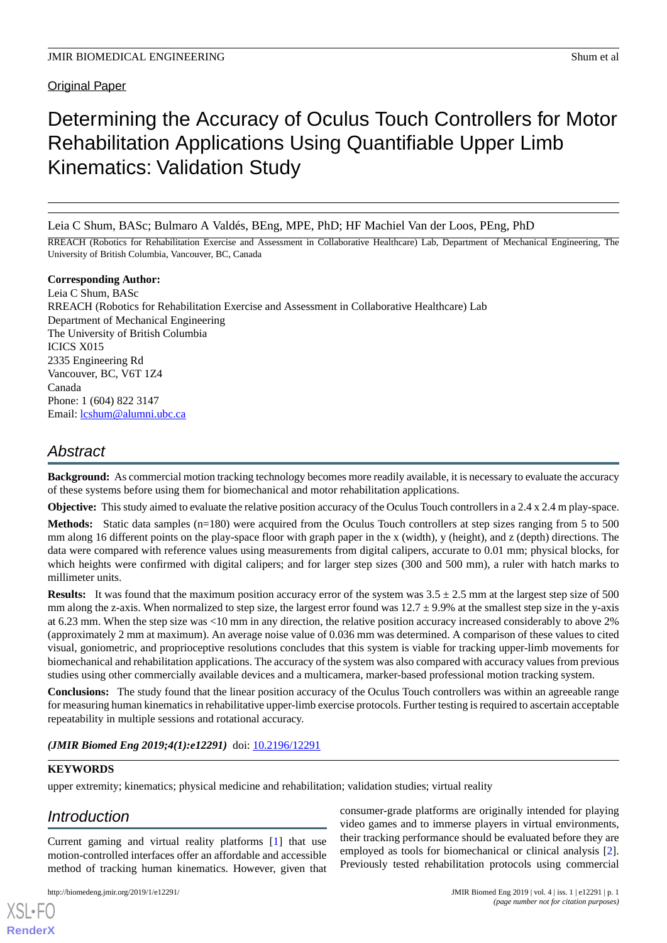**Original Paper** 

# Determining the Accuracy of Oculus Touch Controllers for Motor Rehabilitation Applications Using Quantifiable Upper Limb Kinematics: Validation Study

Leia C Shum, BASc; Bulmaro A Valdés, BEng, MPE, PhD; HF Machiel Van der Loos, PEng, PhD

RREACH (Robotics for Rehabilitation Exercise and Assessment in Collaborative Healthcare) Lab, Department of Mechanical Engineering, The University of British Columbia, Vancouver, BC, Canada

**Corresponding Author:** Leia C Shum, BASc RREACH (Robotics for Rehabilitation Exercise and Assessment in Collaborative Healthcare) Lab Department of Mechanical Engineering The University of British Columbia ICICS X015 2335 Engineering Rd Vancouver, BC, V6T 1Z4 Canada Phone: 1 (604) 822 3147 Email: [lcshum@alumni.ubc.ca](mailto:lcshum@alumni.ubc.ca)

## *Abstract*

**Background:** As commercial motion tracking technology becomes more readily available, it is necessary to evaluate the accuracy of these systems before using them for biomechanical and motor rehabilitation applications.

**Objective:** This study aimed to evaluate the relative position accuracy of the Oculus Touch controllers in a 2.4 x 2.4 m play-space.

**Methods:** Static data samples (n=180) were acquired from the Oculus Touch controllers at step sizes ranging from 5 to 500 mm along 16 different points on the play-space floor with graph paper in the x (width), y (height), and z (depth) directions. The data were compared with reference values using measurements from digital calipers, accurate to 0.01 mm; physical blocks, for which heights were confirmed with digital calipers; and for larger step sizes (300 and 500 mm), a ruler with hatch marks to millimeter units.

**Results:** It was found that the maximum position accuracy error of the system was  $3.5 \pm 2.5$  mm at the largest step size of 500 mm along the z-axis. When normalized to step size, the largest error found was  $12.7 \pm 9.9\%$  at the smallest step size in the y-axis at 6.23 mm. When the step size was <10 mm in any direction, the relative position accuracy increased considerably to above 2% (approximately 2 mm at maximum). An average noise value of 0.036 mm was determined. A comparison of these values to cited visual, goniometric, and proprioceptive resolutions concludes that this system is viable for tracking upper-limb movements for biomechanical and rehabilitation applications. The accuracy of the system was also compared with accuracy values from previous studies using other commercially available devices and a multicamera, marker-based professional motion tracking system.

**Conclusions:** The study found that the linear position accuracy of the Oculus Touch controllers was within an agreeable range for measuring human kinematics in rehabilitative upper-limb exercise protocols. Further testing is required to ascertain acceptable repeatability in multiple sessions and rotational accuracy.

*(JMIR Biomed Eng 2019;4(1):e12291)* doi: [10.2196/12291](http://dx.doi.org/10.2196/12291)

### **KEYWORDS**

upper extremity; kinematics; physical medicine and rehabilitation; validation studies; virtual reality

## *Introduction*

[XSL](http://www.w3.org/Style/XSL)•FO **[RenderX](http://www.renderx.com/)**

Current gaming and virtual reality platforms [[1\]](#page-6-0) that use motion-controlled interfaces offer an affordable and accessible method of tracking human kinematics. However, given that

consumer-grade platforms are originally intended for playing video games and to immerse players in virtual environments, their tracking performance should be evaluated before they are employed as tools for biomechanical or clinical analysis [[2\]](#page-6-1). Previously tested rehabilitation protocols using commercial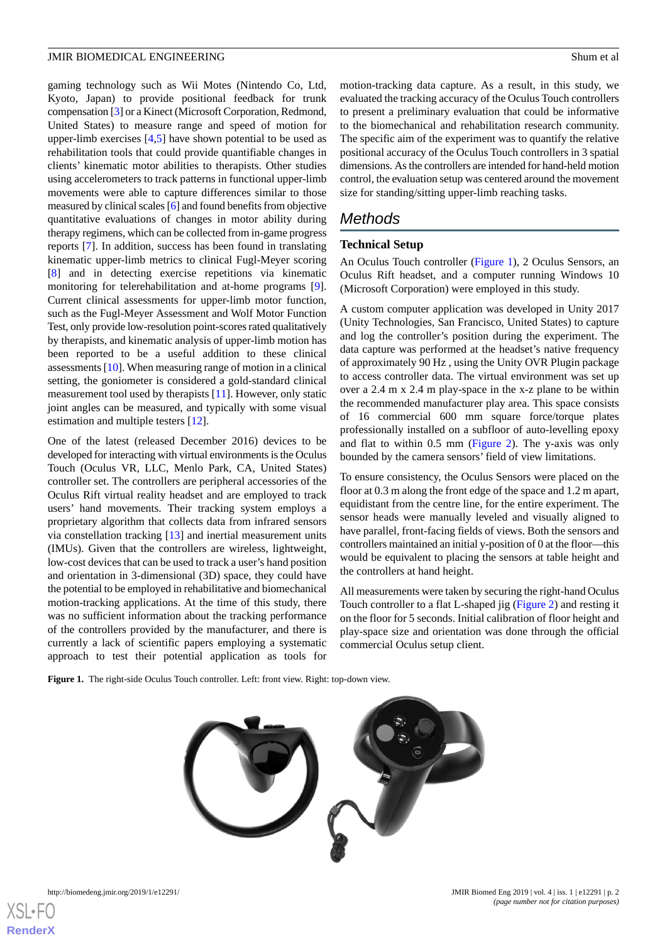gaming technology such as Wii Motes (Nintendo Co, Ltd, Kyoto, Japan) to provide positional feedback for trunk compensation [\[3\]](#page-6-2) or a Kinect (Microsoft Corporation, Redmond, United States) to measure range and speed of motion for upper-limb exercises [\[4](#page-7-0),[5\]](#page-7-1) have shown potential to be used as rehabilitation tools that could provide quantifiable changes in clients' kinematic motor abilities to therapists. Other studies using accelerometers to track patterns in functional upper-limb movements were able to capture differences similar to those measured by clinical scales [\[6](#page-7-2)] and found benefits from objective quantitative evaluations of changes in motor ability during therapy regimens, which can be collected from in-game progress reports [[7\]](#page-7-3). In addition, success has been found in translating kinematic upper-limb metrics to clinical Fugl-Meyer scoring [[8\]](#page-7-4) and in detecting exercise repetitions via kinematic monitoring for telerehabilitation and at-home programs [[9\]](#page-7-5). Current clinical assessments for upper-limb motor function, such as the Fugl-Meyer Assessment and Wolf Motor Function Test, only provide low-resolution point-scores rated qualitatively by therapists, and kinematic analysis of upper-limb motion has been reported to be a useful addition to these clinical assessments [[10\]](#page-7-6). When measuring range of motion in a clinical setting, the goniometer is considered a gold-standard clinical measurement tool used by therapists [\[11](#page-7-7)]. However, only static joint angles can be measured, and typically with some visual estimation and multiple testers [[12\]](#page-7-8).

One of the latest (released December 2016) devices to be developed for interacting with virtual environments is the Oculus Touch (Oculus VR, LLC, Menlo Park, CA, United States) controller set. The controllers are peripheral accessories of the Oculus Rift virtual reality headset and are employed to track users' hand movements. Their tracking system employs a proprietary algorithm that collects data from infrared sensors via constellation tracking [[13\]](#page-7-9) and inertial measurement units (IMUs). Given that the controllers are wireless, lightweight, low-cost devices that can be used to track a user's hand position and orientation in 3-dimensional (3D) space, they could have the potential to be employed in rehabilitative and biomechanical motion-tracking applications. At the time of this study, there was no sufficient information about the tracking performance of the controllers provided by the manufacturer, and there is currently a lack of scientific papers employing a systematic approach to test their potential application as tools for

motion-tracking data capture. As a result, in this study, we evaluated the tracking accuracy of the Oculus Touch controllers to present a preliminary evaluation that could be informative to the biomechanical and rehabilitation research community. The specific aim of the experiment was to quantify the relative positional accuracy of the Oculus Touch controllers in 3 spatial dimensions. As the controllers are intended for hand-held motion control, the evaluation setup was centered around the movement size for standing/sitting upper-limb reaching tasks.

## *Methods*

#### **Technical Setup**

An Oculus Touch controller ([Figure 1\)](#page-1-0), 2 Oculus Sensors, an Oculus Rift headset, and a computer running Windows 10 (Microsoft Corporation) were employed in this study.

A custom computer application was developed in Unity 2017 (Unity Technologies, San Francisco, United States) to capture and log the controller's position during the experiment. The data capture was performed at the headset's native frequency of approximately 90 Hz , using the Unity OVR Plugin package to access controller data. The virtual environment was set up over a 2.4 m x 2.4 m play-space in the x-z plane to be within the recommended manufacturer play area. This space consists of 16 commercial 600 mm square force/torque plates professionally installed on a subfloor of auto-levelling epoxy and flat to within 0.5 mm ([Figure 2\)](#page-2-0). The y-axis was only bounded by the camera sensors' field of view limitations.

To ensure consistency, the Oculus Sensors were placed on the floor at 0.3 m along the front edge of the space and 1.2 m apart, equidistant from the centre line, for the entire experiment. The sensor heads were manually leveled and visually aligned to have parallel, front-facing fields of views. Both the sensors and controllers maintained an initial y-position of 0 at the floor—this would be equivalent to placing the sensors at table height and the controllers at hand height.

All measurements were taken by securing the right-hand Oculus Touch controller to a flat L-shaped jig [\(Figure 2\)](#page-2-0) and resting it on the floor for 5 seconds. Initial calibration of floor height and play-space size and orientation was done through the official commercial Oculus setup client.

<span id="page-1-0"></span>**Figure 1.** The right-side Oculus Touch controller. Left: front view. Right: top-down view.



[XSL](http://www.w3.org/Style/XSL)•FO **[RenderX](http://www.renderx.com/)**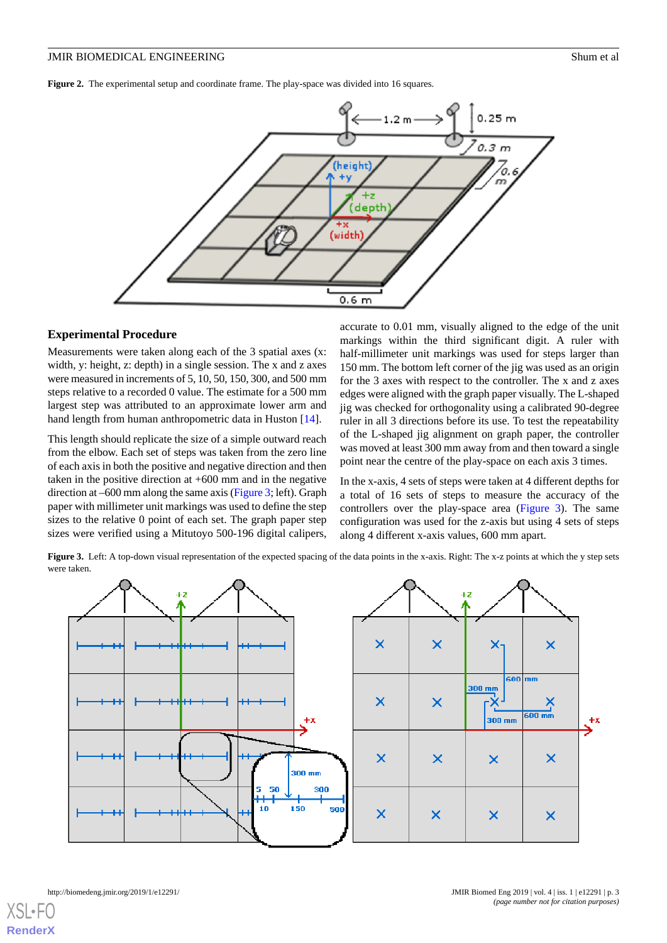<span id="page-2-0"></span>**Figure 2.** The experimental setup and coordinate frame. The play-space was divided into 16 squares.



#### **Experimental Procedure**

Measurements were taken along each of the 3 spatial axes (x: width, y: height, z: depth) in a single session. The x and z axes were measured in increments of 5, 10, 50, 150, 300, and 500 mm steps relative to a recorded 0 value. The estimate for a 500 mm largest step was attributed to an approximate lower arm and hand length from human anthropometric data in Huston [\[14](#page-7-10)].

This length should replicate the size of a simple outward reach from the elbow. Each set of steps was taken from the zero line of each axis in both the positive and negative direction and then taken in the positive direction at +600 mm and in the negative direction at –600 mm along the same axis ([Figure 3;](#page-2-1) left). Graph paper with millimeter unit markings was used to define the step sizes to the relative 0 point of each set. The graph paper step sizes were verified using a Mitutoyo 500-196 digital calipers,

accurate to 0.01 mm, visually aligned to the edge of the unit markings within the third significant digit. A ruler with half-millimeter unit markings was used for steps larger than 150 mm. The bottom left corner of the jig was used as an origin for the 3 axes with respect to the controller. The x and z axes edges were aligned with the graph paper visually. The L-shaped jig was checked for orthogonality using a calibrated 90-degree ruler in all 3 directions before its use. To test the repeatability of the L-shaped jig alignment on graph paper, the controller was moved at least 300 mm away from and then toward a single point near the centre of the play-space on each axis 3 times.

In the x-axis, 4 sets of steps were taken at 4 different depths for a total of 16 sets of steps to measure the accuracy of the controllers over the play-space area [\(Figure 3\)](#page-2-1). The same configuration was used for the z-axis but using 4 sets of steps along 4 different x-axis values, 600 mm apart.

<span id="page-2-1"></span>**Figure 3.** Left: A top-down visual representation of the expected spacing of the data points in the x-axis. Right: The x-z points at which the y step sets were taken.



[XSL](http://www.w3.org/Style/XSL)•FO **[RenderX](http://www.renderx.com/)**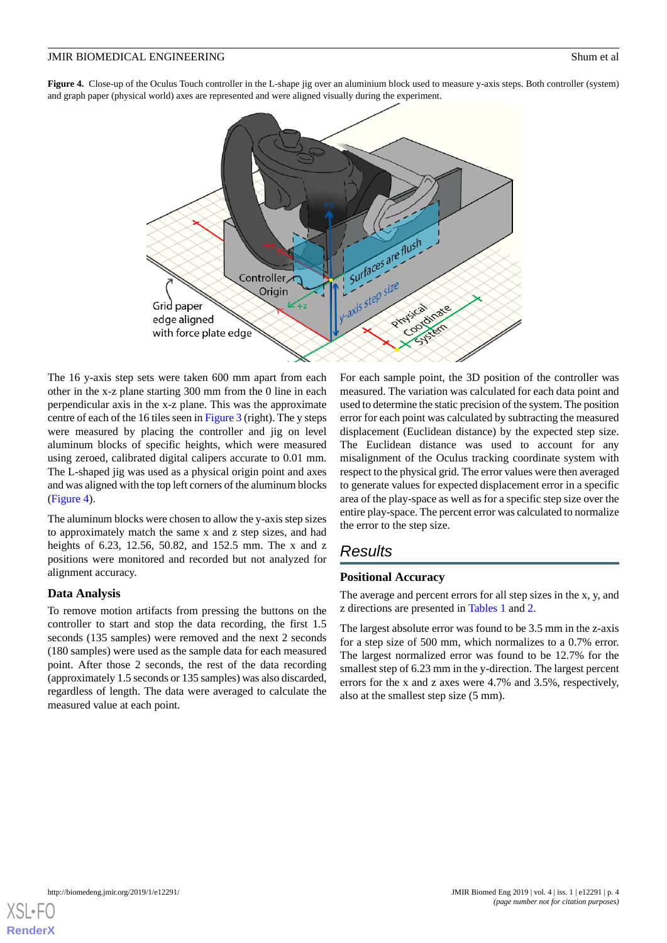<span id="page-3-0"></span>**Figure 4.** Close-up of the Oculus Touch controller in the L-shape jig over an aluminium block used to measure y-axis steps. Both controller (system) and graph paper (physical world) axes are represented and were aligned visually during the experiment.



The 16 y-axis step sets were taken 600 mm apart from each other in the x-z plane starting 300 mm from the 0 line in each perpendicular axis in the x-z plane. This was the approximate centre of each of the 16 tiles seen in [Figure 3](#page-2-1) (right). The y steps were measured by placing the controller and jig on level aluminum blocks of specific heights, which were measured using zeroed, calibrated digital calipers accurate to 0.01 mm. The L-shaped jig was used as a physical origin point and axes and was aligned with the top left corners of the aluminum blocks ([Figure 4\)](#page-3-0).

The aluminum blocks were chosen to allow the y-axis step sizes to approximately match the same x and z step sizes, and had heights of 6.23, 12.56, 50.82, and 152.5 mm. The x and z positions were monitored and recorded but not analyzed for alignment accuracy.

### **Data Analysis**

To remove motion artifacts from pressing the buttons on the controller to start and stop the data recording, the first 1.5 seconds (135 samples) were removed and the next 2 seconds (180 samples) were used as the sample data for each measured point. After those 2 seconds, the rest of the data recording (approximately 1.5 seconds or 135 samples) was also discarded, regardless of length. The data were averaged to calculate the measured value at each point.

For each sample point, the 3D position of the controller was measured. The variation was calculated for each data point and used to determine the static precision of the system. The position error for each point was calculated by subtracting the measured displacement (Euclidean distance) by the expected step size. The Euclidean distance was used to account for any misalignment of the Oculus tracking coordinate system with respect to the physical grid. The error values were then averaged to generate values for expected displacement error in a specific area of the play-space as well as for a specific step size over the entire play-space. The percent error was calculated to normalize the error to the step size.

## *Results*

### **Positional Accuracy**

The average and percent errors for all step sizes in the x, y, and z directions are presented in [Tables 1](#page-4-0) and [2](#page-4-1).

The largest absolute error was found to be 3.5 mm in the z-axis for a step size of 500 mm, which normalizes to a 0.7% error. The largest normalized error was found to be 12.7% for the smallest step of 6.23 mm in the y-direction. The largest percent errors for the x and z axes were 4.7% and 3.5%, respectively, also at the smallest step size (5 mm).

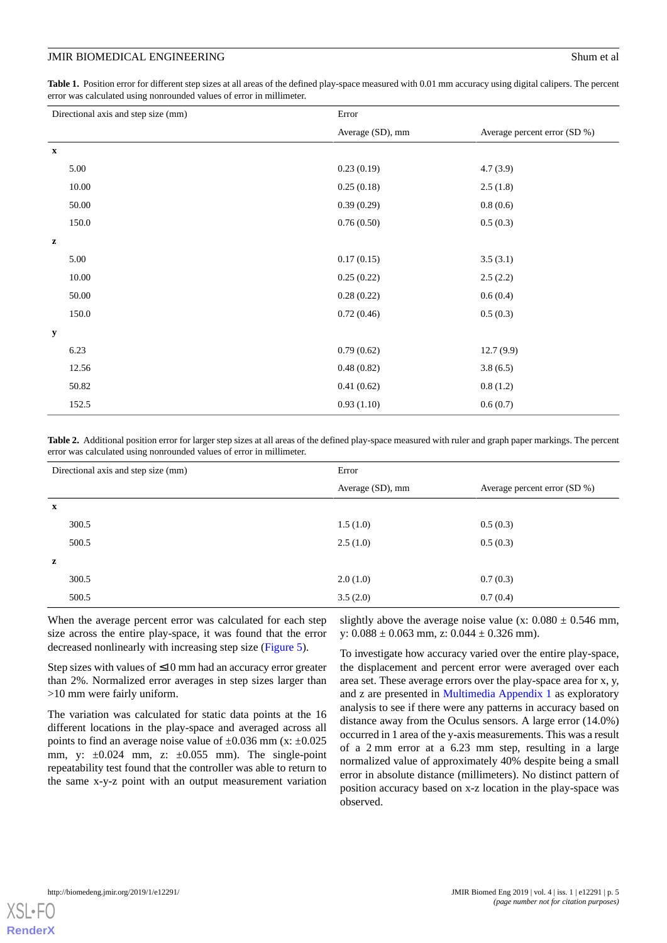<span id="page-4-0"></span>Table 1. Position error for different step sizes at all areas of the defined play-space measured with 0.01 mm accuracy using digital calipers. The percent error was calculated using nonrounded values of error in millimeter.

| Directional axis and step size (mm) |       | Error            |                              |
|-------------------------------------|-------|------------------|------------------------------|
|                                     |       | Average (SD), mm | Average percent error (SD %) |
| $\mathbf x$                         |       |                  |                              |
|                                     | 5.00  | 0.23(0.19)       | 4.7(3.9)                     |
|                                     | 10.00 | 0.25(0.18)       | 2.5(1.8)                     |
|                                     | 50.00 | 0.39(0.29)       | 0.8(0.6)                     |
|                                     | 150.0 | 0.76(0.50)       | 0.5(0.3)                     |
| $\mathbf{z}$                        |       |                  |                              |
|                                     | 5.00  | 0.17(0.15)       | 3.5(3.1)                     |
|                                     | 10.00 | 0.25(0.22)       | 2.5(2.2)                     |
|                                     | 50.00 | 0.28(0.22)       | 0.6(0.4)                     |
|                                     | 150.0 | 0.72(0.46)       | 0.5(0.3)                     |
| y                                   |       |                  |                              |
|                                     | 6.23  | 0.79(0.62)       | 12.7(9.9)                    |
|                                     | 12.56 | 0.48(0.82)       | 3.8(6.5)                     |
|                                     | 50.82 | 0.41(0.62)       | 0.8(1.2)                     |
|                                     | 152.5 | 0.93(1.10)       | 0.6(0.7)                     |

<span id="page-4-1"></span>**Table 2.** Additional position error for larger step sizes at all areas of the defined play-space measured with ruler and graph paper markings. The percent error was calculated using nonrounded values of error in millimeter.

| Directional axis and step size (mm) |       | Error            |                              |
|-------------------------------------|-------|------------------|------------------------------|
|                                     |       | Average (SD), mm | Average percent error (SD %) |
| $\mathbf x$                         |       |                  |                              |
|                                     | 300.5 | 1.5(1.0)         | 0.5(0.3)                     |
|                                     | 500.5 | 2.5(1.0)         | 0.5(0.3)                     |
| z                                   |       |                  |                              |
|                                     | 300.5 | 2.0(1.0)         | 0.7(0.3)                     |
|                                     | 500.5 | 3.5(2.0)         | 0.7(0.4)                     |

When the average percent error was calculated for each step size across the entire play-space, it was found that the error decreased nonlinearly with increasing step size [\(Figure 5\)](#page-5-0).

Step sizes with values of ≤10 mm had an accuracy error greater than 2%. Normalized error averages in step sizes larger than >10 mm were fairly uniform.

The variation was calculated for static data points at the 16 different locations in the play-space and averaged across all points to find an average noise value of  $\pm 0.036$  mm (x:  $\pm 0.025$ ) mm, y:  $\pm 0.024$  mm, z:  $\pm 0.055$  mm). The single-point repeatability test found that the controller was able to return to the same x-y-z point with an output measurement variation

slightly above the average noise value (x:  $0.080 \pm 0.546$  mm, y:  $0.088 \pm 0.063$  mm, z:  $0.044 \pm 0.326$  mm).

To investigate how accuracy varied over the entire play-space, the displacement and percent error were averaged over each area set. These average errors over the play-space area for x, y, and z are presented in [Multimedia Appendix 1](#page-6-3) as exploratory analysis to see if there were any patterns in accuracy based on distance away from the Oculus sensors. A large error (14.0%) occurred in 1 area of the y-axis measurements. This was a result of a 2 mm error at a 6.23 mm step, resulting in a large normalized value of approximately 40% despite being a small error in absolute distance (millimeters). No distinct pattern of position accuracy based on x-z location in the play-space was observed.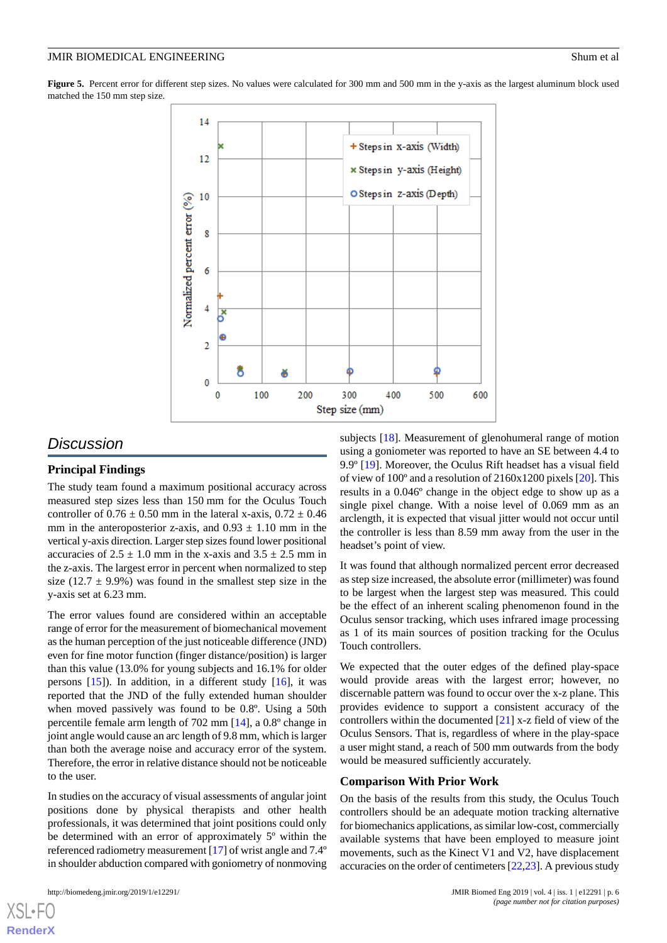<span id="page-5-0"></span>Figure 5. Percent error for different step sizes. No values were calculated for 300 mm and 500 mm in the y-axis as the largest aluminum block used matched the 150 mm step size.



## *Discussion*

#### **Principal Findings**

The study team found a maximum positional accuracy across measured step sizes less than 150 mm for the Oculus Touch controller of  $0.76 \pm 0.50$  mm in the lateral x-axis,  $0.72 \pm 0.46$ mm in the anteroposterior z-axis, and  $0.93 \pm 1.10$  mm in the vertical y-axis direction. Larger step sizes found lower positional accuracies of  $2.5 \pm 1.0$  mm in the x-axis and  $3.5 \pm 2.5$  mm in the z-axis. The largest error in percent when normalized to step size (12.7  $\pm$  9.9%) was found in the smallest step size in the y-axis set at 6.23 mm.

The error values found are considered within an acceptable range of error for the measurement of biomechanical movement as the human perception of the just noticeable difference (JND) even for fine motor function (finger distance/position) is larger than this value (13.0% for young subjects and 16.1% for older persons [[15\]](#page-7-11)). In addition, in a different study [[16\]](#page-7-12), it was reported that the JND of the fully extended human shoulder when moved passively was found to be 0.8º. Using a 50th percentile female arm length of 702 mm [[14\]](#page-7-10), a 0.8º change in joint angle would cause an arc length of 9.8 mm, which is larger than both the average noise and accuracy error of the system. Therefore, the error in relative distance should not be noticeable to the user.

In studies on the accuracy of visual assessments of angular joint positions done by physical therapists and other health professionals, it was determined that joint positions could only be determined with an error of approximately 5º within the referenced radiometry measurement [[17\]](#page-7-13) of wrist angle and 7.4º in shoulder abduction compared with goniometry of nonmoving

[XSL](http://www.w3.org/Style/XSL)•FO **[RenderX](http://www.renderx.com/)**

subjects [\[18](#page-7-14)]. Measurement of glenohumeral range of motion using a goniometer was reported to have an SE between 4.4 to 9.9º [\[19](#page-7-15)]. Moreover, the Oculus Rift headset has a visual field of view of 100º and a resolution of 2160x1200 pixels [\[20](#page-7-16)]. This results in a 0.046º change in the object edge to show up as a single pixel change. With a noise level of 0.069 mm as an arclength, it is expected that visual jitter would not occur until the controller is less than 8.59 mm away from the user in the headset's point of view.

It was found that although normalized percent error decreased as step size increased, the absolute error (millimeter) was found to be largest when the largest step was measured. This could be the effect of an inherent scaling phenomenon found in the Oculus sensor tracking, which uses infrared image processing as 1 of its main sources of position tracking for the Oculus Touch controllers.

We expected that the outer edges of the defined play-space would provide areas with the largest error; however, no discernable pattern was found to occur over the x-z plane. This provides evidence to support a consistent accuracy of the controllers within the documented  $[21]$  $[21]$  x-z field of view of the Oculus Sensors. That is, regardless of where in the play-space a user might stand, a reach of 500 mm outwards from the body would be measured sufficiently accurately.

#### **Comparison With Prior Work**

On the basis of the results from this study, the Oculus Touch controllers should be an adequate motion tracking alternative for biomechanics applications, as similar low-cost, commercially available systems that have been employed to measure joint movements, such as the Kinect V1 and V2, have displacement accuracies on the order of centimeters [\[22](#page-7-18),[23\]](#page-7-19). A previous study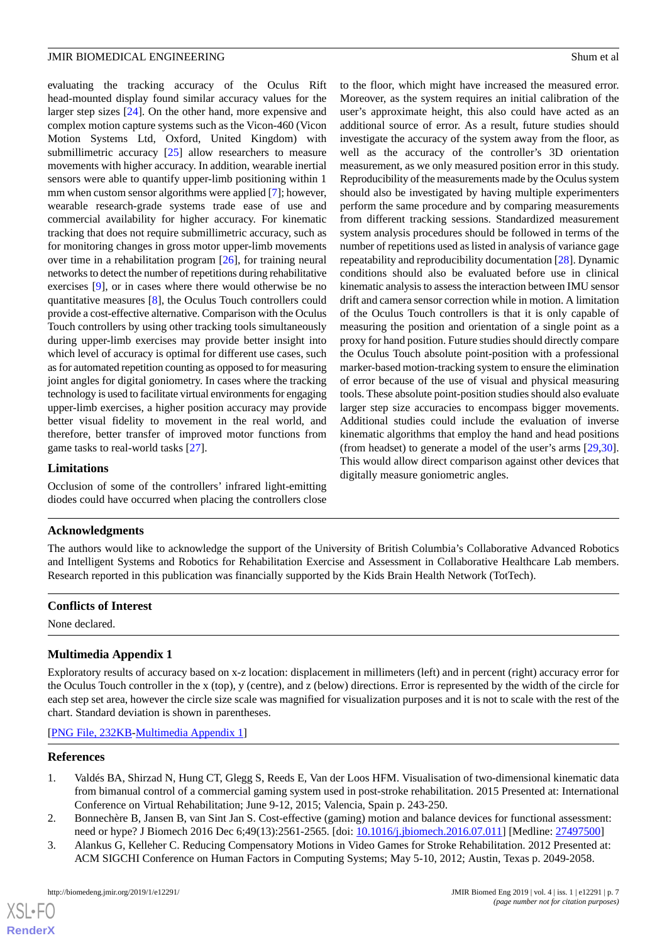evaluating the tracking accuracy of the Oculus Rift head-mounted display found similar accuracy values for the larger step sizes [[24\]](#page-7-20). On the other hand, more expensive and complex motion capture systems such as the Vicon-460 (Vicon Motion Systems Ltd, Oxford, United Kingdom) with submillimetric accuracy [[25\]](#page-7-21) allow researchers to measure movements with higher accuracy. In addition, wearable inertial sensors were able to quantify upper-limb positioning within 1 mm when custom sensor algorithms were applied [[7\]](#page-7-3); however, wearable research-grade systems trade ease of use and commercial availability for higher accuracy. For kinematic tracking that does not require submillimetric accuracy, such as for monitoring changes in gross motor upper-limb movements over time in a rehabilitation program [[26\]](#page-8-0), for training neural networks to detect the number of repetitions during rehabilitative exercises [[9\]](#page-7-5), or in cases where there would otherwise be no quantitative measures [[8\]](#page-7-4), the Oculus Touch controllers could provide a cost-effective alternative. Comparison with the Oculus Touch controllers by using other tracking tools simultaneously during upper-limb exercises may provide better insight into which level of accuracy is optimal for different use cases, such as for automated repetition counting as opposed to for measuring joint angles for digital goniometry. In cases where the tracking technology is used to facilitate virtual environments for engaging upper-limb exercises, a higher position accuracy may provide better visual fidelity to movement in the real world, and therefore, better transfer of improved motor functions from game tasks to real-world tasks [\[27](#page-8-1)].

#### **Limitations**

Occlusion of some of the controllers' infrared light-emitting diodes could have occurred when placing the controllers close

to the floor, which might have increased the measured error. Moreover, as the system requires an initial calibration of the user's approximate height, this also could have acted as an additional source of error. As a result, future studies should investigate the accuracy of the system away from the floor, as well as the accuracy of the controller's 3D orientation measurement, as we only measured position error in this study. Reproducibility of the measurements made by the Oculus system should also be investigated by having multiple experimenters perform the same procedure and by comparing measurements from different tracking sessions. Standardized measurement system analysis procedures should be followed in terms of the number of repetitions used as listed in analysis of variance gage repeatability and reproducibility documentation [\[28](#page-8-2)]. Dynamic conditions should also be evaluated before use in clinical kinematic analysis to assess the interaction between IMU sensor drift and camera sensor correction while in motion. A limitation of the Oculus Touch controllers is that it is only capable of measuring the position and orientation of a single point as a proxy for hand position. Future studies should directly compare the Oculus Touch absolute point-position with a professional marker-based motion-tracking system to ensure the elimination of error because of the use of visual and physical measuring tools. These absolute point-position studies should also evaluate larger step size accuracies to encompass bigger movements. Additional studies could include the evaluation of inverse kinematic algorithms that employ the hand and head positions (from headset) to generate a model of the user's arms [\[29](#page-8-3),[30\]](#page-8-4). This would allow direct comparison against other devices that digitally measure goniometric angles.

### **Acknowledgments**

The authors would like to acknowledge the support of the University of British Columbia's Collaborative Advanced Robotics and Intelligent Systems and Robotics for Rehabilitation Exercise and Assessment in Collaborative Healthcare Lab members. Research reported in this publication was financially supported by the Kids Brain Health Network (TotTech).

#### <span id="page-6-3"></span>**Conflicts of Interest**

None declared.

## **Multimedia Appendix 1**

<span id="page-6-0"></span>Exploratory results of accuracy based on x-z location: displacement in millimeters (left) and in percent (right) accuracy error for the Oculus Touch controller in the x (top), y (centre), and z (below) directions. Error is represented by the width of the circle for each step set area, however the circle size scale was magnified for visualization purposes and it is not to scale with the rest of the chart. Standard deviation is shown in parentheses.

<span id="page-6-1"></span>[[PNG File, 232KB-Multimedia Appendix 1](https://jmir.org/api/download?alt_name=biomedeng_v4i1e12291_app1.png&filename=9a03417d63bef67b672ff7b884216d56.png)]

#### <span id="page-6-2"></span>**References**

 $XS$  $\cdot$ FC **[RenderX](http://www.renderx.com/)**

- 1. Valdés BA, Shirzad N, Hung CT, Glegg S, Reeds E, Van der Loos HFM. Visualisation of two-dimensional kinematic data from bimanual control of a commercial gaming system used in post-stroke rehabilitation. 2015 Presented at: International Conference on Virtual Rehabilitation; June 9-12, 2015; Valencia, Spain p. 243-250.
- 2. Bonnechère B, Jansen B, van Sint Jan S. Cost-effective (gaming) motion and balance devices for functional assessment: need or hype? J Biomech 2016 Dec 6;49(13):2561-2565. [doi: [10.1016/j.jbiomech.2016.07.011](http://dx.doi.org/10.1016/j.jbiomech.2016.07.011)] [Medline: [27497500](http://www.ncbi.nlm.nih.gov/entrez/query.fcgi?cmd=Retrieve&db=PubMed&list_uids=27497500&dopt=Abstract)]
- 3. Alankus G, Kelleher C. Reducing Compensatory Motions in Video Games for Stroke Rehabilitation. 2012 Presented at: ACM SIGCHI Conference on Human Factors in Computing Systems; May 5-10, 2012; Austin, Texas p. 2049-2058.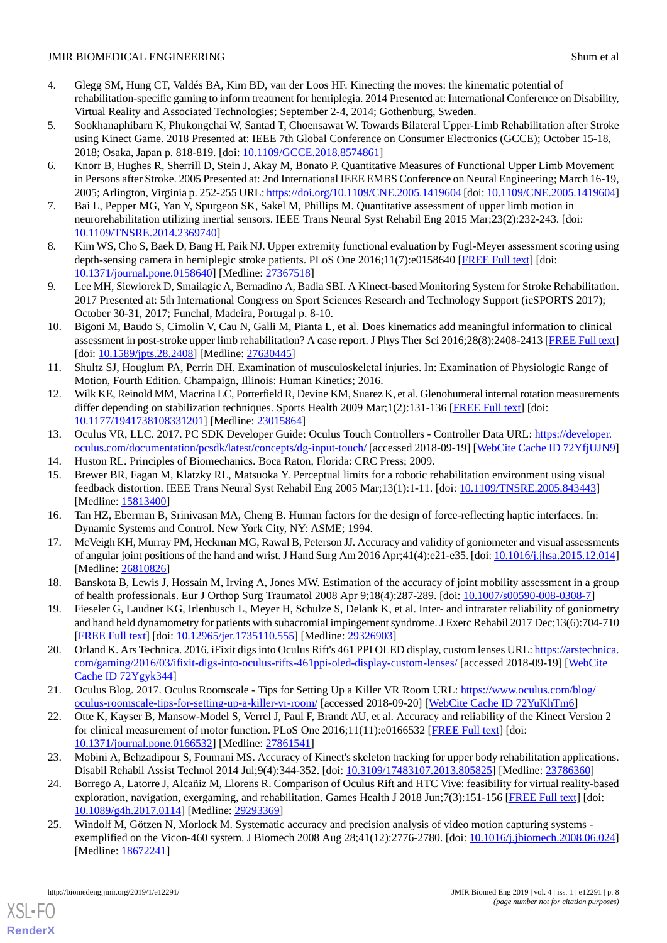- <span id="page-7-0"></span>4. Glegg SM, Hung CT, Valdés BA, Kim BD, van der Loos HF. Kinecting the moves: the kinematic potential of rehabilitation-specific gaming to inform treatment for hemiplegia. 2014 Presented at: International Conference on Disability, Virtual Reality and Associated Technologies; September 2-4, 2014; Gothenburg, Sweden.
- <span id="page-7-1"></span>5. Sookhanaphibarn K, Phukongchai W, Santad T, Choensawat W. Towards Bilateral Upper-Limb Rehabilitation after Stroke using Kinect Game. 2018 Presented at: IEEE 7th Global Conference on Consumer Electronics (GCCE); October 15-18, 2018; Osaka, Japan p. 818-819. [doi: [10.1109/GCCE.2018.8574861\]](http://dx.doi.org/10.1109/GCCE.2018.8574861)
- <span id="page-7-2"></span>6. Knorr B, Hughes R, Sherrill D, Stein J, Akay M, Bonato P. Quantitative Measures of Functional Upper Limb Movement in Persons after Stroke. 2005 Presented at: 2nd International IEEE EMBS Conference on Neural Engineering; March 16-19, 2005; Arlington, Virginia p. 252-255 URL:<https://doi.org/10.1109/CNE.2005.1419604> [doi: [10.1109/CNE.2005.1419604\]](http://dx.doi.org/10.1109/CNE.2005.1419604)
- <span id="page-7-4"></span><span id="page-7-3"></span>7. Bai L, Pepper MG, Yan Y, Spurgeon SK, Sakel M, Phillips M. Quantitative assessment of upper limb motion in neurorehabilitation utilizing inertial sensors. IEEE Trans Neural Syst Rehabil Eng 2015 Mar;23(2):232-243. [doi: [10.1109/TNSRE.2014.2369740\]](http://dx.doi.org/10.1109/TNSRE.2014.2369740)
- <span id="page-7-5"></span>8. Kim WS, Cho S, Baek D, Bang H, Paik NJ. Upper extremity functional evaluation by Fugl-Meyer assessment scoring using depth-sensing camera in hemiplegic stroke patients. PLoS One 2016;11(7):e0158640 [\[FREE Full text\]](http://dx.plos.org/10.1371/journal.pone.0158640) [doi: [10.1371/journal.pone.0158640\]](http://dx.doi.org/10.1371/journal.pone.0158640) [Medline: [27367518](http://www.ncbi.nlm.nih.gov/entrez/query.fcgi?cmd=Retrieve&db=PubMed&list_uids=27367518&dopt=Abstract)]
- <span id="page-7-6"></span>9. Lee MH, Siewiorek D, Smailagic A, Bernadino A, Badia SBI. A Kinect-based Monitoring System for Stroke Rehabilitation. 2017 Presented at: 5th International Congress on Sport Sciences Research and Technology Support (icSPORTS 2017); October 30-31, 2017; Funchal, Madeira, Portugal p. 8-10.
- <span id="page-7-7"></span>10. Bigoni M, Baudo S, Cimolin V, Cau N, Galli M, Pianta L, et al. Does kinematics add meaningful information to clinical assessment in post-stroke upper limb rehabilitation? A case report. J Phys Ther Sci 2016;28(8):2408-2413 [[FREE Full text](http://europepmc.org/abstract/MED/27630445)] [doi: [10.1589/jpts.28.2408\]](http://dx.doi.org/10.1589/jpts.28.2408) [Medline: [27630445](http://www.ncbi.nlm.nih.gov/entrez/query.fcgi?cmd=Retrieve&db=PubMed&list_uids=27630445&dopt=Abstract)]
- <span id="page-7-8"></span>11. Shultz SJ, Houglum PA, Perrin DH. Examination of musculoskeletal injuries. In: Examination of Physiologic Range of Motion, Fourth Edition. Champaign, Illinois: Human Kinetics; 2016.
- <span id="page-7-9"></span>12. Wilk KE, Reinold MM, Macrina LC, Porterfield R, Devine KM, Suarez K, et al. Glenohumeral internal rotation measurements differ depending on stabilization techniques. Sports Health 2009 Mar;1(2):131-136 [[FREE Full text\]](http://europepmc.org/abstract/MED/23015864) [doi: [10.1177/1941738108331201\]](http://dx.doi.org/10.1177/1941738108331201) [Medline: [23015864\]](http://www.ncbi.nlm.nih.gov/entrez/query.fcgi?cmd=Retrieve&db=PubMed&list_uids=23015864&dopt=Abstract)
- <span id="page-7-11"></span><span id="page-7-10"></span>13. Oculus VR, LLC. 2017. PC SDK Developer Guide: Oculus Touch Controllers - Controller Data URL: [https://developer.](https://developer.oculus.com/documentation/pcsdk/latest/concepts/dg-input-touch/) [oculus.com/documentation/pcsdk/latest/concepts/dg-input-touch/](https://developer.oculus.com/documentation/pcsdk/latest/concepts/dg-input-touch/) [accessed 2018-09-19] [[WebCite Cache ID 72YfjUJN9](http://www.webcitation.org/

                                72YfjUJN9)]
- <span id="page-7-12"></span>14. Huston RL. Principles of Biomechanics. Boca Raton, Florida: CRC Press; 2009.
- <span id="page-7-13"></span>15. Brewer BR, Fagan M, Klatzky RL, Matsuoka Y. Perceptual limits for a robotic rehabilitation environment using visual feedback distortion. IEEE Trans Neural Syst Rehabil Eng 2005 Mar;13(1):1-11. [doi: [10.1109/TNSRE.2005.843443](http://dx.doi.org/10.1109/TNSRE.2005.843443)] [Medline: [15813400](http://www.ncbi.nlm.nih.gov/entrez/query.fcgi?cmd=Retrieve&db=PubMed&list_uids=15813400&dopt=Abstract)]
- <span id="page-7-14"></span>16. Tan HZ, Eberman B, Srinivasan MA, Cheng B. Human factors for the design of force-reflecting haptic interfaces. In: Dynamic Systems and Control. New York City, NY: ASME; 1994.
- <span id="page-7-15"></span>17. McVeigh KH, Murray PM, Heckman MG, Rawal B, Peterson JJ. Accuracy and validity of goniometer and visual assessments of angular joint positions of the hand and wrist. J Hand Surg Am 2016 Apr;41(4):e21-e35. [doi: [10.1016/j.jhsa.2015.12.014\]](http://dx.doi.org/10.1016/j.jhsa.2015.12.014) [Medline: [26810826](http://www.ncbi.nlm.nih.gov/entrez/query.fcgi?cmd=Retrieve&db=PubMed&list_uids=26810826&dopt=Abstract)]
- <span id="page-7-16"></span>18. Banskota B, Lewis J, Hossain M, Irving A, Jones MW. Estimation of the accuracy of joint mobility assessment in a group of health professionals. Eur J Orthop Surg Traumatol 2008 Apr 9;18(4):287-289. [doi: [10.1007/s00590-008-0308-7\]](http://dx.doi.org/10.1007/s00590-008-0308-7)
- <span id="page-7-17"></span>19. Fieseler G, Laudner KG, Irlenbusch L, Meyer H, Schulze S, Delank K, et al. Inter- and intrarater reliability of goniometry and hand held dynamometry for patients with subacromial impingement syndrome. J Exerc Rehabil 2017 Dec;13(6):704-710 [[FREE Full text](http://www.e-jer.org/journal/view.php?year=2017&vol=13&page=704)] [doi: [10.12965/jer.1735110.555\]](http://dx.doi.org/10.12965/jer.1735110.555) [Medline: [29326903](http://www.ncbi.nlm.nih.gov/entrez/query.fcgi?cmd=Retrieve&db=PubMed&list_uids=29326903&dopt=Abstract)]
- <span id="page-7-18"></span>20. Orland K. Ars Technica. 2016. iFixit digs into Oculus Rift's 461 PPI OLED display, custom lenses URL: [https://arstechnica.](https://arstechnica.com/gaming/2016/03/ifixit-digs-into-oculus-rifts-461ppi-oled-display-custom-lenses/) [com/gaming/2016/03/ifixit-digs-into-oculus-rifts-461ppi-oled-display-custom-lenses/](https://arstechnica.com/gaming/2016/03/ifixit-digs-into-oculus-rifts-461ppi-oled-display-custom-lenses/) [accessed 2018-09-19] [[WebCite](http://www.webcitation.org/

                                72Ygyk344) [Cache ID 72Ygyk344](http://www.webcitation.org/

                                72Ygyk344)]
- <span id="page-7-19"></span>21. Oculus Blog. 2017. Oculus Roomscale - Tips for Setting Up a Killer VR Room URL: [https://www.oculus.com/blog/](https://www.oculus.com/blog/oculus-roomscale-tips-for-setting-up-a-killer-vr-room/) [oculus-roomscale-tips-for-setting-up-a-killer-vr-room/](https://www.oculus.com/blog/oculus-roomscale-tips-for-setting-up-a-killer-vr-room/) [accessed 2018-09-20] [[WebCite Cache ID 72YuKhTm6\]](http://www.webcitation.org/

                                72YuKhTm6)
- <span id="page-7-20"></span>22. Otte K, Kayser B, Mansow-Model S, Verrel J, Paul F, Brandt AU, et al. Accuracy and reliability of the Kinect Version 2 for clinical measurement of motor function. PLoS One 2016;11(11):e0166532 [\[FREE Full text\]](http://dx.plos.org/10.1371/journal.pone.0166532) [doi: [10.1371/journal.pone.0166532\]](http://dx.doi.org/10.1371/journal.pone.0166532) [Medline: [27861541](http://www.ncbi.nlm.nih.gov/entrez/query.fcgi?cmd=Retrieve&db=PubMed&list_uids=27861541&dopt=Abstract)]
- <span id="page-7-21"></span>23. Mobini A, Behzadipour S, Foumani MS. Accuracy of Kinect's skeleton tracking for upper body rehabilitation applications. Disabil Rehabil Assist Technol 2014 Jul;9(4):344-352. [doi: [10.3109/17483107.2013.805825](http://dx.doi.org/10.3109/17483107.2013.805825)] [Medline: [23786360](http://www.ncbi.nlm.nih.gov/entrez/query.fcgi?cmd=Retrieve&db=PubMed&list_uids=23786360&dopt=Abstract)]
- 24. Borrego A, Latorre J, Alcañiz M, Llorens R. Comparison of Oculus Rift and HTC Vive: feasibility for virtual reality-based exploration, navigation, exergaming, and rehabilitation. Games Health J 2018 Jun;7(3):151-156 [\[FREE Full text\]](https://doi.org/10.1089/g4h.2017.0114) [doi: [10.1089/g4h.2017.0114\]](http://dx.doi.org/10.1089/g4h.2017.0114) [Medline: [29293369\]](http://www.ncbi.nlm.nih.gov/entrez/query.fcgi?cmd=Retrieve&db=PubMed&list_uids=29293369&dopt=Abstract)
- 25. Windolf M, Götzen N, Morlock M. Systematic accuracy and precision analysis of video motion capturing systems exemplified on the Vicon-460 system. J Biomech 2008 Aug 28;41(12):2776-2780. [doi: [10.1016/j.jbiomech.2008.06.024](http://dx.doi.org/10.1016/j.jbiomech.2008.06.024)] [Medline: [18672241](http://www.ncbi.nlm.nih.gov/entrez/query.fcgi?cmd=Retrieve&db=PubMed&list_uids=18672241&dopt=Abstract)]

[XSL](http://www.w3.org/Style/XSL)•FO **[RenderX](http://www.renderx.com/)**